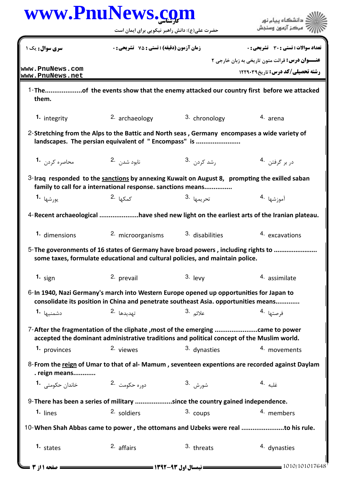|                                    | www.PnuNews. <u>co</u> m<br>حضرت علی(ع): دانش راهبر نیکویی برای ایمان است                                                                                                       |                          | دانشگاه پیام نور<br>بركز آزمون وسنجش                                                           |
|------------------------------------|---------------------------------------------------------------------------------------------------------------------------------------------------------------------------------|--------------------------|------------------------------------------------------------------------------------------------|
| <b>سری سوال:</b> یک ۱              | <b>زمان آزمون (دقیقه) : تستی : 75 تشریحی : 0</b>                                                                                                                                |                          | تعداد سوالات : تستى : 30 - تشريحي : 0                                                          |
| www.PnuNews.com<br>www.PnuNews.net |                                                                                                                                                                                 |                          | عنـــوان درس: قرائت متون تاریخی به زبان خارجی ۲<br><b>رشته تحصیلی/کد درس:</b> تاریخ12290       |
| them.                              |                                                                                                                                                                                 |                          | 1-Theof the events show that the enemy attacked our country first before we attacked           |
| 1. integrity                       | 2. archaeology                                                                                                                                                                  | 3. chronology            | 4. arena                                                                                       |
|                                    | 2-Stretching from the Alps to the Battic and North seas, Germany encompases a wide variety of<br>landscapes. The persian equivalent of "Encompass" is                           |                          |                                                                                                |
| محاصره کردن <b>1</b> ۰             | نابود شدن 2.                                                                                                                                                                    | , شد کرد <sub>ن</sub> .3 | د <sub>ر</sub> بر گرفتن . 4                                                                    |
|                                    | 3-Iraq responded to the sanctions by annexing Kuwait on August 8, prompting the exilled saban<br>family to call for a international response. sanctions means                   |                          |                                                                                                |
| يورشها  • <sup>1</sup>             | كمكها <sup>.2</sup>                                                                                                                                                             | 3. تحريمها               | آموزشها <sup>.4</sup>                                                                          |
|                                    |                                                                                                                                                                                 |                          | 4-Recent archaeological have shed new light on the earliest arts of the Iranian plateau.       |
| 1. dimensions                      | 2. microorganisms                                                                                                                                                               | 3. disabilities          | 4. excavations                                                                                 |
|                                    | 5-The goveronments of 16 states of Germany have broad powers, including rights to<br>some taxes, formulate educational and cultural policies, and maintain police.              |                          |                                                                                                |
| 1. sign                            | 2. prevail                                                                                                                                                                      | $3.$ levy                | 4. assimilate                                                                                  |
|                                    | 6-In 1940, Nazi Germany's march into Western Europe opened up opportunities for Japan to<br>consolidate its position in China and penetrate southeast Asia. opportunities means |                          |                                                                                                |
| دشمنيها 1۰                         | تهديدها .2                                                                                                                                                                      | علائم <sup>.3</sup>      | ف <sub>ر</sub> صتها <sup>.4</sup>                                                              |
|                                    | 7-After the fragmentation of the cliphate , most of the emerging came to power<br>accepted the dominant administrative traditions and political concept of the Muslim world.    |                          |                                                                                                |
| <sup>1.</sup> provinces            | 2. viewes                                                                                                                                                                       | 3. dynasties             | 4. movements                                                                                   |
| . reign means                      |                                                                                                                                                                                 |                          | 8-From the reign of Umar to that of al-Mamum, seventeen expentions are recorded against Daylam |
| خاندان حکومتی <b>1</b> ۰           | دوره حکومت 2.                                                                                                                                                                   | شورش .3                  | غلبه 4.                                                                                        |
|                                    | 9- There has been a series of military since the country gained independence.                                                                                                   |                          |                                                                                                |
| 1. lines                           | 2. soldiers                                                                                                                                                                     | 3. coups                 | 4. members                                                                                     |
|                                    | 10-When Shah Abbas came to power, the ottomans and Uzbeks were real to his rule.                                                                                                |                          |                                                                                                |
| 1. states                          | 2. affairs                                                                                                                                                                      | 3. threats               | 4. dynasties                                                                                   |
| <b>: صفحه ۱۱; 3</b>                |                                                                                                                                                                                 |                          | 1010/101017648                                                                                 |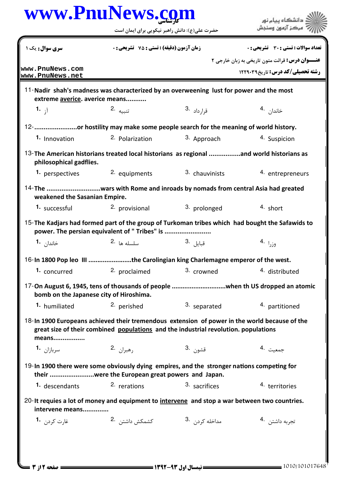|                                                                                                                           | حضرت علی(ع): دانش راهبر نیکویی برای ایمان است                                       |                                                    | دانشگاه پيام نور<br>مركز آزمون وسنجش                                                            |
|---------------------------------------------------------------------------------------------------------------------------|-------------------------------------------------------------------------------------|----------------------------------------------------|-------------------------------------------------------------------------------------------------|
| سری سوال: یک ۱                                                                                                            |                                                                                     | <b>زمان آزمون (دقیقه) : تستی : 75 ٪ تشریحی : 0</b> |                                                                                                 |
|                                                                                                                           |                                                                                     |                                                    | <b>عنـــوان درس:</b> قرائت متون تاریخی به زبان خارجی ۲                                          |
| www.PnuNews.com<br>www.PnuNews.net                                                                                        |                                                                                     |                                                    | <b>رشته تحصیلی/کد درس: تاریخ1229031</b>                                                         |
| 11-Nadir shah's madness was characterized by an overweening lust for power and the most<br>extreme averice. averice means |                                                                                     |                                                    |                                                                                                 |
| 1. $\bar{1}$                                                                                                              | 2. تنبيه                                                                            | قرا <sub>ر داد</sub> .3                            | خاندا <sub>ن</sub> .4                                                                           |
| 12- or hostility may make some people search for the meaning of world history.                                            |                                                                                     |                                                    |                                                                                                 |
| 1. Innovation                                                                                                             | 2. Polarization                                                                     | 3. Approach                                        | 4. Suspicion                                                                                    |
| 13-The American historians treated local historians as regional and world historians as<br>philosophical gadflies.        |                                                                                     |                                                    |                                                                                                 |
| 1. perspectives                                                                                                           | 2. equipments                                                                       | 3. chauvinists                                     | 4. entrepreneurs                                                                                |
| 14-The wars with Rome and inroads by nomads from central Asia had greated<br>weakened the Sasanian Empire.                |                                                                                     |                                                    |                                                                                                 |
| 1. successful                                                                                                             | 2. provisional                                                                      | 3. prolonged                                       | $4.$ short                                                                                      |
|                                                                                                                           | power. The persian equivalent of " Tribes" is                                       |                                                    | 15-The Kadjars had formed part of the group of Turkoman tribes which had bought the Safawids to |
| خاندا <sub>ن</sub> <b>1</b> ۰                                                                                             | $2.$ $\mu$ delphine $\mu$                                                           | قبايل <sup>.3</sup>                                | وزرا <sup>.4</sup>                                                                              |
| 16-In 1800 Pop leo III the Carolingian king Charlemagne emperor of the west.                                              |                                                                                     |                                                    |                                                                                                 |
| 1. concurred                                                                                                              | 2. proclaimed                                                                       | 3. crowned                                         | 4. distributed                                                                                  |
| bomb on the Japanese city of Hiroshima.                                                                                   |                                                                                     |                                                    |                                                                                                 |
| 1. humiliated                                                                                                             | 2. perished                                                                         | 3. separated                                       | 4. partitioned                                                                                  |
| 18-In 1900 Europeans achieved their tremendous extension of power in the world because of the<br>means                    | great size of their combined populations and the industrial revolution. populations |                                                    |                                                                                                 |
| <b>1.</b> سربازان <b>1.</b>                                                                                               | رهبران .2                                                                           | قشون 3.                                            | جمعيت 4.                                                                                        |
| 19-In 1900 there were some obviously dying empires, and the stronger nations competing for                                | their were the European great powers and Japan.                                     |                                                    |                                                                                                 |
| 1. descendants                                                                                                            | 2. rerations                                                                        | 3. sacrifices                                      | 4. territories                                                                                  |
| 20- It requies a lot of money and equipment to intervene and stop a war between two countries.<br>intervene means         |                                                                                     |                                                    |                                                                                                 |
|                                                                                                                           |                                                                                     |                                                    |                                                                                                 |